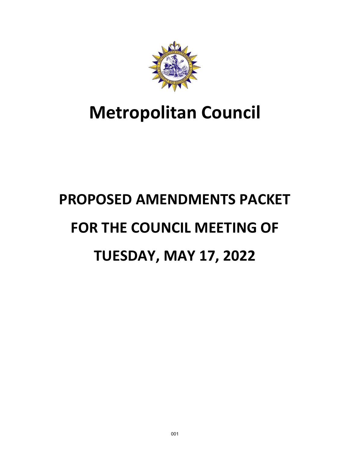

# **Metropolitan Council**

# **PROPOSED AMENDMENTS PACKET FOR THE COUNCIL MEETING OF TUESDAY, MAY 17, 2022**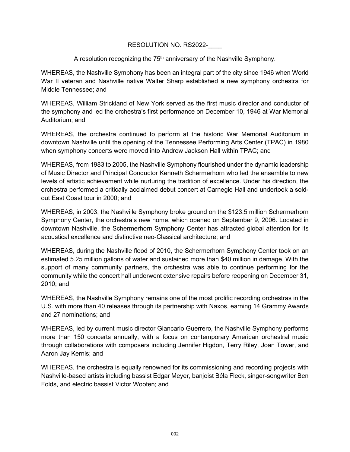#### RESOLUTION NO. RS2022-\_\_\_\_

A resolution recognizing the  $75<sup>th</sup>$  anniversary of the Nashville Symphony.

WHEREAS, the Nashville Symphony has been an integral part of the city since 1946 when World War II veteran and Nashville native Walter Sharp established a new symphony orchestra for Middle Tennessee; and

WHEREAS, William Strickland of New York served as the first music director and conductor of the symphony and led the orchestra's first performance on December 10, 1946 at War Memorial Auditorium; and

WHEREAS, the orchestra continued to perform at the historic War Memorial Auditorium in downtown Nashville until the opening of the Tennessee Performing Arts Center (TPAC) in 1980 when symphony concerts were moved into Andrew Jackson Hall within TPAC; and

WHEREAS, from 1983 to 2005, the Nashville Symphony flourished under the dynamic leadership of Music Director and Principal Conductor Kenneth Schermerhorn who led the ensemble to new levels of artistic achievement while nurturing the tradition of excellence. Under his direction, the orchestra performed a critically acclaimed debut concert at Carnegie Hall and undertook a soldout East Coast tour in 2000; and

WHEREAS, in 2003, the Nashville Symphony broke ground on the \$123.5 million Schermerhorn Symphony Center, the orchestra's new home, which opened on September 9, 2006. Located in downtown Nashville, the Schermerhorn Symphony Center has attracted global attention for its acoustical excellence and distinctive neo-Classical architecture; and

WHEREAS, during the Nashville flood of 2010, the Schermerhorn Symphony Center took on an estimated 5.25 million gallons of water and sustained more than \$40 million in damage. With the support of many community partners, the orchestra was able to continue performing for the community while the concert hall underwent extensive repairs before reopening on December 31, 2010; and

WHEREAS, the Nashville Symphony remains one of the most prolific recording orchestras in the U.S. with more than 40 releases through its partnership with Naxos, earning 14 Grammy Awards and 27 nominations; and

WHEREAS, led by current music director Giancarlo Guerrero, the Nashville Symphony performs more than 150 concerts annually, with a focus on contemporary American orchestral music through collaborations with composers including Jennifer Higdon, Terry Riley, Joan Tower, and Aaron Jay Kernis; and

WHEREAS, the orchestra is equally renowned for its commissioning and recording projects with Nashville-based artists including bassist Edgar Meyer, banjoist Béla Fleck, singer-songwriter Ben Folds, and electric bassist Victor Wooten; and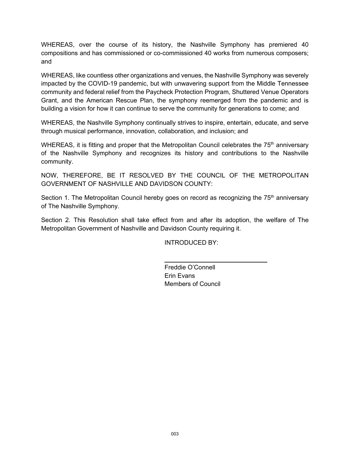WHEREAS, over the course of its history, the Nashville Symphony has premiered 40 compositions and has commissioned or co-commissioned 40 works from numerous composers; and

WHEREAS, like countless other organizations and venues, the Nashville Symphony was severely impacted by the COVID-19 pandemic, but with unwavering support from the Middle Tennessee community and federal relief from the Paycheck Protection Program, Shuttered Venue Operators Grant, and the American Rescue Plan, the symphony reemerged from the pandemic and is building a vision for how it can continue to serve the community for generations to come; and

WHEREAS, the Nashville Symphony continually strives to inspire, entertain, educate, and serve through musical performance, innovation, collaboration, and inclusion; and

WHEREAS, it is fitting and proper that the Metropolitan Council celebrates the 75<sup>th</sup> anniversary of the Nashville Symphony and recognizes its history and contributions to the Nashville community.

NOW, THEREFORE, BE IT RESOLVED BY THE COUNCIL OF THE METROPOLITAN GOVERNMENT OF NASHVILLE AND DAVIDSON COUNTY:

Section 1. The Metropolitan Council hereby goes on record as recognizing the 75<sup>th</sup> anniversary of The Nashville Symphony.

Section 2. This Resolution shall take effect from and after its adoption, the welfare of The Metropolitan Government of Nashville and Davidson County requiring it.

 $\overline{a}$ 

INTRODUCED BY:

Freddie O'Connell Erin Evans Members of Council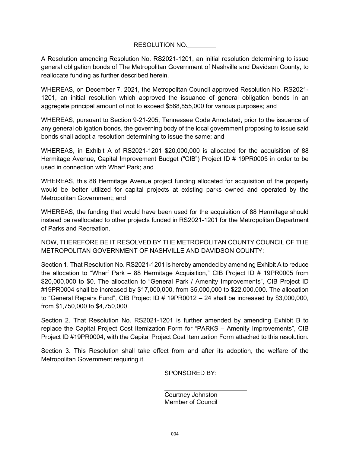#### RESOLUTION NO.

A Resolution amending Resolution No. RS2021-1201, an initial resolution determining to issue general obligation bonds of The Metropolitan Government of Nashville and Davidson County, to reallocate funding as further described herein.

WHEREAS, on December 7, 2021, the Metropolitan Council approved Resolution No. RS2021- 1201, an initial resolution which approved the issuance of general obligation bonds in an aggregate principal amount of not to exceed \$568,855,000 for various purposes; and

WHEREAS, pursuant to Section 9-21-205, Tennessee Code Annotated, prior to the issuance of any general obligation bonds, the governing body of the local government proposing to issue said bonds shall adopt a resolution determining to issue the same; and

WHEREAS, in Exhibit A of RS2021-1201 \$20,000,000 is allocated for the acquisition of 88 Hermitage Avenue, Capital Improvement Budget ("CIB") Project ID # 19PR0005 in order to be used in connection with Wharf Park; and

WHEREAS, this 88 Hermitage Avenue project funding allocated for acquisition of the property would be better utilized for capital projects at existing parks owned and operated by the Metropolitan Government; and

WHEREAS, the funding that would have been used for the acquisition of 88 Hermitage should instead be reallocated to other projects funded in RS2021-1201 for the Metropolitan Department of Parks and Recreation.

NOW, THEREFORE BE IT RESOLVED BY THE METROPOLITAN COUNTY COUNCIL OF THE METROPOLITAN GOVERNMENT OF NASHVILLE AND DAVIDSON COUNTY:

Section 1. That Resolution No. RS2021-1201 is hereby amended by amending Exhibit A to reduce the allocation to "Wharf Park – 88 Hermitage Acquisition," CIB Project ID # 19PR0005 from \$20,000,000 to \$0. The allocation to "General Park / Amenity Improvements", CIB Project ID #19PR0004 shall be increased by \$17,000,000, from \$5,000,000 to \$22,000,000. The allocation to "General Repairs Fund", CIB Project ID # 19PR0012 – 24 shall be increased by \$3,000,000, from \$1,750,000 to \$4,750,000.

Section 2. That Resolution No. RS2021-1201 is further amended by amending Exhibit B to replace the Capital Project Cost Itemization Form for "PARKS – Amenity Improvements", CIB Project ID #19PR0004, with the Capital Project Cost Itemization Form attached to this resolution.

Section 3. This Resolution shall take effect from and after its adoption, the welfare of the Metropolitan Government requiring it.

 $\overline{a}$ 

SPONSORED BY:

Courtney Johnston Member of Council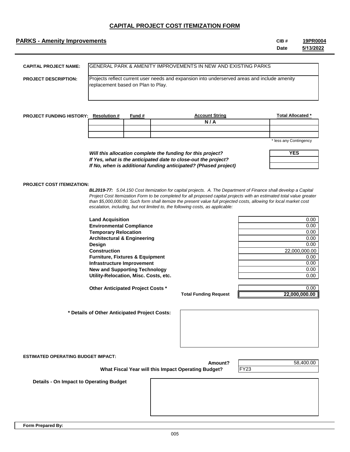#### **CAPITAL PROJECT COST ITEMIZATION FORM**

#### **PARKS - Amenity Improvements CIB #**

**Date 19PR0004 5/13/2022**

| <b>CAPITAL PROJECT NAME:</b> | <b>IGENERAL PARK &amp; AMENITY IMPROVEMENTS IN NEW AND EXISTING PARKS</b>                                                          |
|------------------------------|------------------------------------------------------------------------------------------------------------------------------------|
| <b>PROJECT DESCRIPTION:</b>  | Projects reflect current user needs and expansion into underserved areas and include amenity<br>replacement based on Plan to Play. |

| <b>PROJECT FUNDING HISTORY:</b> | <b>Resolution #</b> | Fund # | <b>Account String</b> | <b>Total Allocated *</b> |
|---------------------------------|---------------------|--------|-----------------------|--------------------------|
|                                 |                     |        | N/A                   |                          |
|                                 |                     |        |                       |                          |
|                                 |                     |        |                       |                          |
|                                 |                     |        |                       | * loce any Contingency   |

*Will this allocation complete the funding for this project? If Yes, what is the anticipated date to close-out the project? If No, when is additional funding anticipated? (Phased project)* any Contingency

| YES |  |  |  |  |
|-----|--|--|--|--|
|     |  |  |  |  |
|     |  |  |  |  |

#### **PROJECT COST ITEMIZATION:**

*BL2019-77: 5.04.150 Cost Itemization for capital projects. A. The Department of Finance shall develop a Capital Project Cost Itemization Form to be completed for all proposed capital projects with an estimated total value greater than \$5,000,000.00. Such form shall itemize the present value full projected costs, allowing for local market cost escalation, including, but not limited to, the following costs, as applicable:*

**Land Acquisition Environmental Compliance Temporary Relocation Architectural & Engineering Design** 0.00 **Construction Furniture, Fixtures & Equipment Infrastructure Improvement New and Supporting Technology Utility-Relocation, Misc. Costs, etc.** 

**Other Anticipated Project Costs \*** 0.00

 **What Fiscal Year will this Impact Operating Budget?**

**\* Details of Other Anticipated Project Costs:**

| 0.00          |
|---------------|
| 0.00          |
| 0.00          |
| 0.00          |
| 0.00          |
| 22,000,000.00 |
| 0.00          |
| 0.00          |
| 0.00          |
| 0.00          |

**Total Funding Request**

**22,000,000.00**

58,400.00

**ESTIMATED OPERATING BUDGET IMPACT:**

**Amount?**

FY23

 **Details - On Impact to Operating Budget**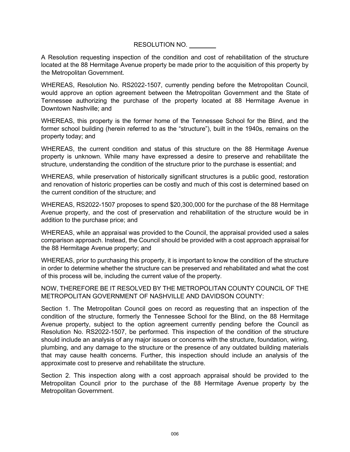RESOLUTION NO.

A Resolution requesting inspection of the condition and cost of rehabilitation of the structure located at the 88 Hermitage Avenue property be made prior to the acquisition of this property by the Metropolitan Government.

WHEREAS, Resolution No. RS2022-1507, currently pending before the Metropolitan Council, would approve an option agreement between the Metropolitan Government and the State of Tennessee authorizing the purchase of the property located at 88 Hermitage Avenue in Downtown Nashville; and

WHEREAS, this property is the former home of the Tennessee School for the Blind, and the former school building (herein referred to as the "structure"), built in the 1940s, remains on the property today; and

WHEREAS, the current condition and status of this structure on the 88 Hermitage Avenue property is unknown. While many have expressed a desire to preserve and rehabilitate the structure, understanding the condition of the structure prior to the purchase is essential; and

WHEREAS, while preservation of historically significant structures is a public good, restoration and renovation of historic properties can be costly and much of this cost is determined based on the current condition of the structure; and

WHEREAS, RS2022-1507 proposes to spend \$20,300,000 for the purchase of the 88 Hermitage Avenue property, and the cost of preservation and rehabilitation of the structure would be in addition to the purchase price; and

WHEREAS, while an appraisal was provided to the Council, the appraisal provided used a sales comparison approach. Instead, the Council should be provided with a cost approach appraisal for the 88 Hermitage Avenue property; and

WHEREAS, prior to purchasing this property, it is important to know the condition of the structure in order to determine whether the structure can be preserved and rehabilitated and what the cost of this process will be, including the current value of the property.

NOW, THEREFORE BE IT RESOLVED BY THE METROPOLITAN COUNTY COUNCIL OF THE METROPOLITAN GOVERNMENT OF NASHVILLE AND DAVIDSON COUNTY:

Section 1. The Metropolitan Council goes on record as requesting that an inspection of the condition of the structure, formerly the Tennessee School for the Blind, on the 88 Hermitage Avenue property, subject to the option agreement currently pending before the Council as Resolution No. RS2022-1507, be performed. This inspection of the condition of the structure should include an analysis of any major issues or concerns with the structure, foundation, wiring, plumbing, and any damage to the structure or the presence of any outdated building materials that may cause health concerns. Further, this inspection should include an analysis of the approximate cost to preserve and rehabilitate the structure.

Section 2. This inspection along with a cost approach appraisal should be provided to the Metropolitan Council prior to the purchase of the 88 Hermitage Avenue property by the Metropolitan Government.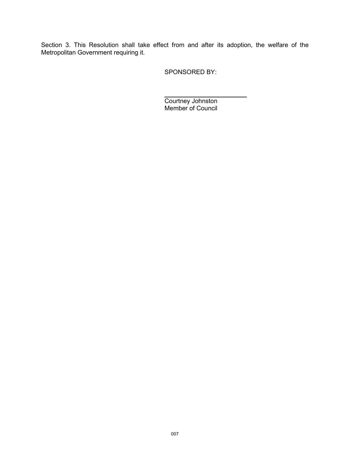Section 3. This Resolution shall take effect from and after its adoption, the welfare of the Metropolitan Government requiring it.

SPONSORED BY:

 $\overline{a}$ Courtney Johnston Member of Council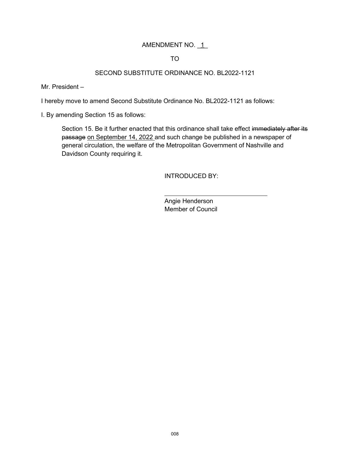## AMENDMENT NO. 1

TO

#### SECOND SUBSTITUTE ORDINANCE NO. BL2022-1121

Mr. President –

I hereby move to amend Second Substitute Ordinance No. BL2022-1121 as follows:

 $\overline{\phantom{a}}$ 

I. By amending Section 15 as follows:

Section 15. Be it further enacted that this ordinance shall take effect immediately after its passage on September 14, 2022 and such change be published in a newspaper of general circulation, the welfare of the Metropolitan Government of Nashville and Davidson County requiring it.

INTRODUCED BY:

Angie Henderson Member of Council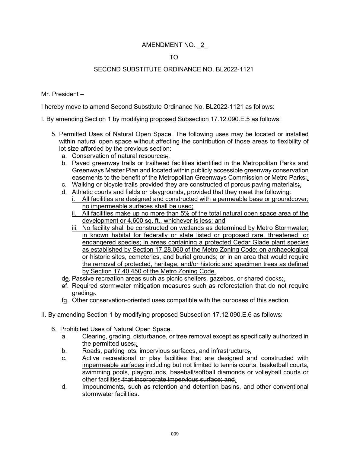# AMENDMENT NO. 2

#### TO

### SECOND SUBSTITUTE ORDINANCE NO. BL2022-1121

Mr. President –

I hereby move to amend Second Substitute Ordinance No. BL2022-1121 as follows:

I. By amending Section 1 by modifying proposed Subsection 17.12.090.E.5 as follows:

- 5. Permitted Uses of Natural Open Space. The following uses may be located or installed within natural open space without affecting the contribution of those areas to flexibility of lot size afforded by the previous section:
	- a. Conservation of natural resources;
	- b. Paved greenway trails or trailhead facilities identified in the Metropolitan Parks and Greenways Master Plan and located within publicly accessible greenway conservation easements to the benefit of the Metropolitan Greenways Commission or Metro Parks;.
	- c. Walking or bicycle trails provided they are constructed of porous paving materials;
	- d. Athletic courts and fields or playgrounds, provided that they meet the following:
		- All facilities are designed and constructed with a permeable base or groundcover; no impermeable surfaces shall be used;
		- ii. All facilities make up no more than 5% of the total natural open space area of the development or 4,600 sq. ft., whichever is less; and
		- iii. No facility shall be constructed on wetlands as determined by Metro Stormwater; in known habitat for federally or state listed or proposed rare, threatened, or endangered species; in areas containing a protected Cedar Glade plant species as established by Section 17.28.060 of the Metro Zoning Code; on archaeological or historic sites, cemeteries, and burial grounds; or in an area that would require the removal of protected, heritage, and/or historic and specimen trees as defined by Section 17.40.450 of the Metro Zoning Code.
	- de. Passive recreation areas such as picnic shelters, gazebos, or shared docks;.
	- ef. Required stormwater mitigation measures such as reforestation that do not require grading;.
	- fg. Other conservation-oriented uses compatible with the purposes of this section.
- II. By amending Section 1 by modifying proposed Subsection 17.12.090.E.6 as follows:
	- 6. Prohibited Uses of Natural Open Space.
		- a. Clearing, grading, disturbance, or tree removal except as specifically authorized in the permitted uses;
		- b. Roads, parking lots, impervious surfaces, and infrastructure.
		- c. Active recreational or play facilities that are designed and constructed with impermeable surfaces including but not limited to tennis courts, basketball courts, swimming pools, playgrounds, baseball/softball diamonds or volleyball courts or other facilities that incorporate impervious surface; and.
		- d. Impoundments, such as retention and detention basins, and other conventional stormwater facilities.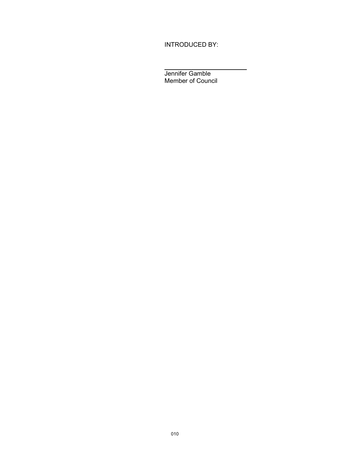INTRODUCED BY:

 $\overline{a}$ Jennifer Gamble Member of Council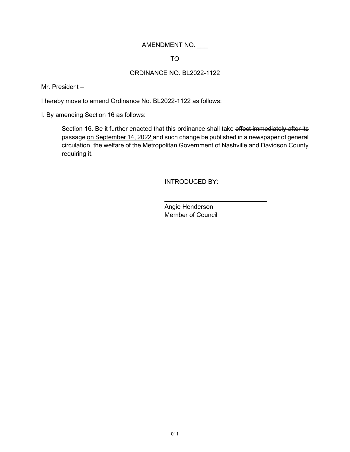### AMENDMENT NO. \_\_\_

TO

#### ORDINANCE NO. BL2022-1122

Mr. President –

I hereby move to amend Ordinance No. BL2022-1122 as follows:

I. By amending Section 16 as follows:

Section 16. Be it further enacted that this ordinance shall take effect immediately after its passage on September 14, 2022 and such change be published in a newspaper of general circulation, the welfare of the Metropolitan Government of Nashville and Davidson County requiring it.

INTRODUCED BY:

Angie Henderson Member of Council

 $\overline{a}$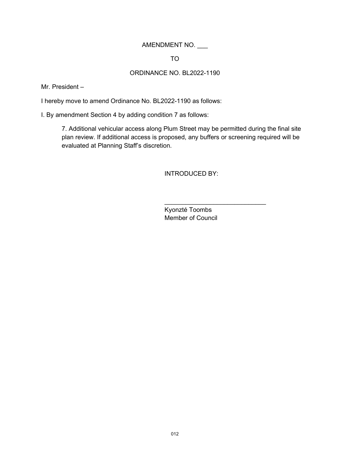## AMENDMENT NO. \_\_\_

TO

#### ORDINANCE NO. BL2022-1190

Mr. President –

I hereby move to amend Ordinance No. BL2022-1190 as follows:

I. By amendment Section 4 by adding condition 7 as follows:

7. Additional vehicular access along Plum Street may be permitted during the final site plan review. If additional access is proposed, any buffers or screening required will be evaluated at Planning Staff's discretion.

INTRODUCED BY:

Kyonzté Toombs Member of Council

\_\_\_\_\_\_\_\_\_\_\_\_\_\_\_\_\_\_\_\_\_\_\_\_\_\_\_\_\_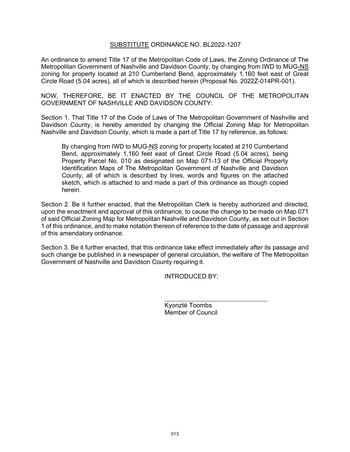#### SUBSTITUTE ORDINANCE NO. BL2022-1207

An ordinance to amend Title 17 of the Metropolitan Code of Laws, the Zoning Ordinance of The Metropolitan Government of Nashville and Davidson County, by changing from IWD to MUG-NS zoning for property located at 210 Cumberland Bend, approximately 1,160 feet east of Great Circle Road (5.04 acres), all of which is described herein (Proposal No. 2022Z-014PR-001).

NOW, THEREFORE, BE IT ENACTED BY THE COUNCIL OF THE METROPOLITAN GOVERNMENT OF NASHVILLE AND DAVIDSON COUNTY:

Section 1. That Title 17 of the Code of Laws of The Metropolitan Government of Nashville and Davidson County, is hereby amended by changing the Official Zoning Map for Metropolitan Nashville and Davidson County, which is made a part of Title 17 by reference, as follows:

By changing from IWD to MUG-NS zoning for property located at 210 Cumberland Bend, approximately 1,160 feet east of Great Circle Road (5.04 acres), being Property Parcel No. 010 as designated on Map 071-13 of the Official Property Identification Maps of The Metropolitan Government of Nashville and Davidson County, all of which is described by lines, words and figures on the attached sketch, which is attached to and made a part of this ordinance as though copied herein.

Section 2. Be it further enacted, that the Metropolitan Clerk is hereby authorized and directed, upon the enactment and approval of this ordinance, to cause the change to be made on Map 071 of said Official Zoning Map for Metropolitan Nashville and Davidson County, as set out in Section 1 of this ordinance, and to make notation thereon of reference to the date of passage and approval of this amendatory ordinance.

Section 3. Be it further enacted, that this ordinance take effect immediately after its passage and such change be published in a newspaper of general circulation, the welfare of The Metropolitan Government of Nashville and Davidson County requiring it.

 $\overline{a}$ 

INTRODUCED BY:

Kyonzté Toombs Member of Council